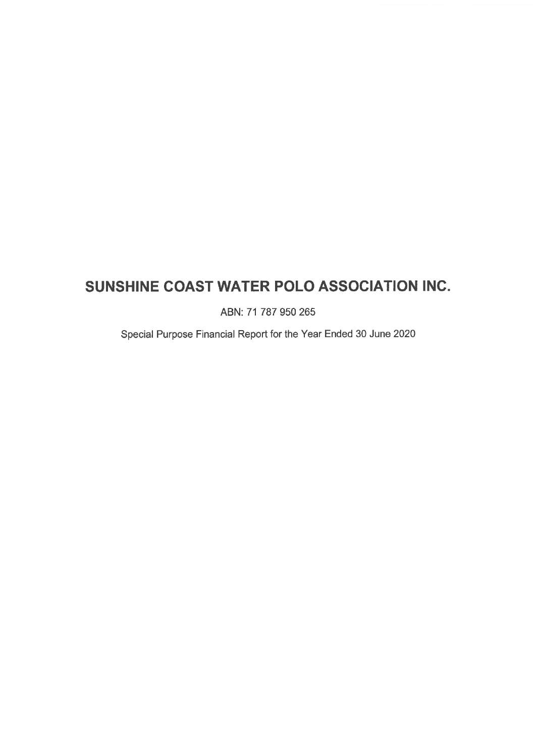# SUNSHINE COAST WATER POLO ASSOCIATION INC.

ABN: 71 787 950 265

Special Purpose Financial Report for the Year Ended 30 June 2020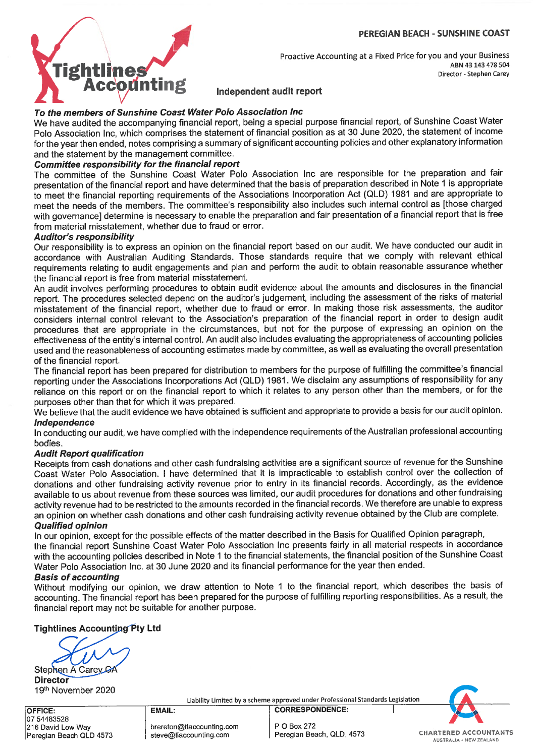#### PEREGIAN BEACH - SUNSHINE COAST



Proactive Accounting at a Fixed Price for you and your Business ABN 43 143 478 504 Director - Stephen Carey

# Independent audit report

# To the members of Sunshine Coast Water Polo Association Inc

We have audited the accompanying financial report, being a special purpose financial report, of Sunshine Coast Water Polo Association Inc, which comprises the statement of financial position as at 30 June 2020, the statement of income for the year then ended, notes comprising a summary of significant accounting policies and other explanatory information and the statement by the management committee.

# Committee responsibility for the financial report

The committee of the Sunshine Coast Water Polo Association Inc are responsible for the preparation and fair presentation of the financial report and have determined that the basis of preparation described in Note 1 is appropriate to meet the financial reporting requirements of the Associations Incorporation Act (QLD) 1981 and are appropriate to meet the needs of the members. The committee's responsibility also includes such internal control as [those charged with governance] determine is necessary to enable the preparation and fair presentation of a financial report that is free from material misstatement, whether due to fraud or error.

# Auditor's responsibility

Our responsibility is to express an opinion on the financial report based on our audit. We have conducted our audit in accordance with Australian Auditing Standards. Those standards require that we comply with relevant ethical requirements relating to audit engagements and plan and perform the audit to obtain reasonable assurance whether the financial report is free from material misstatement.

An audit involves performing procedures to obtain audit evidence about the amounts and disclosures in the financial report. The procedures selected depend on the auditor's judgement, including the assessment of the risks of material misstatement of the financial report, whether due to fraud or error. In making those risk assessments, the auditor considers internal control relevant to the Association's preparation of the financial report in order to design audit procedures that are appropriate in the circumstances, but not for the purpose of expressing an opinion on the effectiveness of the entity's internal control. An audit also includes evaluating the appropriateness of accounting policies used and the reasonableness of accounting estimates made by committee, as well as evaluating the overall presentation of the financial report.

The financial report has been prepared for distribution to members for the purpose of fulfilling the committee's financial reporting under the Associations Incorporations Act (QLD) 1981. We disclaim any assumptions of responsibility for any reliance on this report or on the financial report to which it relates to any person other than the members, or for the purposes other than that for which it was prepared.

We believe that the audit evidence we have obtained is sufficient and appropriate to provide a basis for our audit opinion. Independence

In conducting our audit, we have complied with the independence requirements of the Australian professional accounting bodies.

# Audit Report qualification

Receipts from cash donations and other cash fundraising activities are a significant source of revenue for the Sunshine Coast Water Polo Association. I have determined that it is impracticable to establish control over the collection of donations and other fundraising activity revenue prior to entry in its financial records. Accordingly, as the evidence available to us about revenue from these sources was limited, our audit procedures for donations and other fundraising activity revenue had to be restricted to the amounts recorded in the financial records. We therefore are unable to express an opinion on whether cash donations and other cash fundraising activity revenue obtained by the Club are complete. Qualified opinion

In our opinion, except for the possible effects of the matter described in the Basis for Qualified Opinion paragraph, the financial report Sunshine Coast Water Polo Association Inc presents fairly in all material respects in accordance with the accounting policies described in Note 1 to the financial statements, the financial position of the Sunshine Coast Water Polo Association Inc. at 30 June 2020 and its financial performance for the year then ended.

#### Basis of accounting

Without modifying our opinion, we draw attention to Note 1 to the financial report, which describes the basis of accounting. The financial report has been prepared for the purpose of fulfilling reporting responsibilities. As a result, the financial report may not be suitable for another purpose.

Tightlines Accounting Pty Ltd

Stephen A Carey C **Director** 19th November 2020

Liability Limited by a scheme approved under Professional Standards Legislation «

OFFICE: 07 54483528 1216 David Low Way |Peregian Beach QLD 4573

brereton@tlaccounting.com steve@tlaccounting.com

EMAIL:

P 0 Box 272

CORRESPONDENCE:

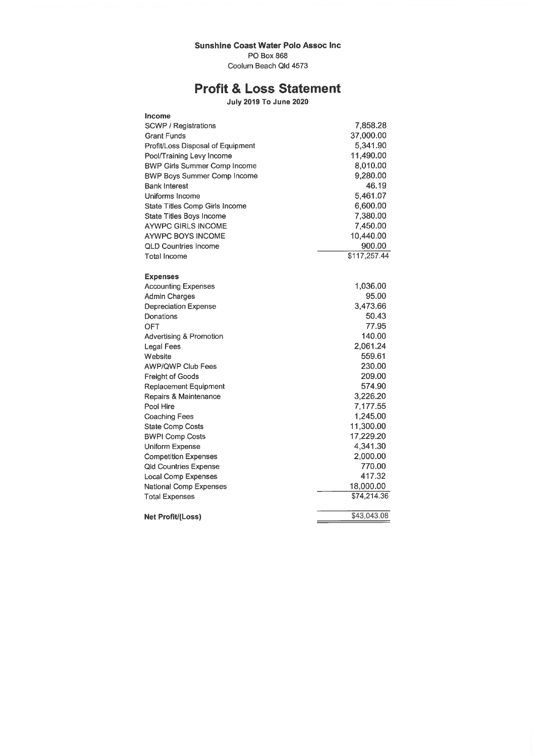# Sunshine Coast Water Polo Assoc Inc

PO Box 868

Coolum Beach Qld 4573

# Profit & Loss Statement

July 2019 To June 2020

| SCWP / Registrations<br>7,858.28<br>37,000.00<br><b>Grant Funds</b><br>5,341.90<br>Profit/Loss Disposal of Equipment<br>Pool/Training Levy Income<br>11.490.00<br><b>BWP Girls Summer Comp Income</b><br>8,010.00<br>9,280.00<br><b>BWP Boys Summer Comp Income</b><br>46.19<br><b>Bank Interest</b><br>Uniforms Income<br>5.461.07<br><b>State Titles Comp Girls Income</b><br>6,600.00<br>7,380.00<br>State Titles Boys Income<br>7,450.00<br><b>AYWPC GIRLS INCOME</b><br>10,440.00<br><b>AYWPC BOYS INCOME</b><br><b>QLD Countries Income</b><br>900.00<br>$\overline{$117,257.44}$<br><b>Total Income</b><br><b>Expenses</b><br>1,036.00<br><b>Accounting Expenses</b><br>95.00<br>Admin Charges<br>3,473.66<br><b>Depreciation Expense</b><br>50.43<br>Donations<br>77.95<br><b>OFT</b><br>140.00<br>Advertising & Promotion<br>2,061.24<br><b>Legal Fees</b><br>559.61<br>Website<br><b>AWP/QWP Club Fees</b><br>230.00<br>209.00<br><b>Freight of Goods</b><br>574.90<br><b>Replacement Equipment</b><br>3,226.20<br>Repairs & Maintenance<br>Pool Hire<br>7,177.55<br>1,245.00<br><b>Coaching Fees</b><br>11,300.00<br><b>State Comp Costs</b><br>17,229.20<br><b>BWPI Comp Costs</b><br>4,341.30<br>Uniform Expense<br>2,000.00<br><b>Competition Expenses</b><br>770.00<br><b>Qld Countries Expense</b><br>417.32<br><b>Local Comp Expenses</b><br>18,000.00<br><b>National Comp Expenses</b><br>\$74,214.36<br><b>Total Expenses</b><br>\$43,043.08<br>Net Profit/(Loss) | Income |  |
|--------------------------------------------------------------------------------------------------------------------------------------------------------------------------------------------------------------------------------------------------------------------------------------------------------------------------------------------------------------------------------------------------------------------------------------------------------------------------------------------------------------------------------------------------------------------------------------------------------------------------------------------------------------------------------------------------------------------------------------------------------------------------------------------------------------------------------------------------------------------------------------------------------------------------------------------------------------------------------------------------------------------------------------------------------------------------------------------------------------------------------------------------------------------------------------------------------------------------------------------------------------------------------------------------------------------------------------------------------------------------------------------------------------------------------------------------------------------------------------|--------|--|
|                                                                                                                                                                                                                                                                                                                                                                                                                                                                                                                                                                                                                                                                                                                                                                                                                                                                                                                                                                                                                                                                                                                                                                                                                                                                                                                                                                                                                                                                                      |        |  |
|                                                                                                                                                                                                                                                                                                                                                                                                                                                                                                                                                                                                                                                                                                                                                                                                                                                                                                                                                                                                                                                                                                                                                                                                                                                                                                                                                                                                                                                                                      |        |  |
|                                                                                                                                                                                                                                                                                                                                                                                                                                                                                                                                                                                                                                                                                                                                                                                                                                                                                                                                                                                                                                                                                                                                                                                                                                                                                                                                                                                                                                                                                      |        |  |
|                                                                                                                                                                                                                                                                                                                                                                                                                                                                                                                                                                                                                                                                                                                                                                                                                                                                                                                                                                                                                                                                                                                                                                                                                                                                                                                                                                                                                                                                                      |        |  |
|                                                                                                                                                                                                                                                                                                                                                                                                                                                                                                                                                                                                                                                                                                                                                                                                                                                                                                                                                                                                                                                                                                                                                                                                                                                                                                                                                                                                                                                                                      |        |  |
|                                                                                                                                                                                                                                                                                                                                                                                                                                                                                                                                                                                                                                                                                                                                                                                                                                                                                                                                                                                                                                                                                                                                                                                                                                                                                                                                                                                                                                                                                      |        |  |
|                                                                                                                                                                                                                                                                                                                                                                                                                                                                                                                                                                                                                                                                                                                                                                                                                                                                                                                                                                                                                                                                                                                                                                                                                                                                                                                                                                                                                                                                                      |        |  |
|                                                                                                                                                                                                                                                                                                                                                                                                                                                                                                                                                                                                                                                                                                                                                                                                                                                                                                                                                                                                                                                                                                                                                                                                                                                                                                                                                                                                                                                                                      |        |  |
|                                                                                                                                                                                                                                                                                                                                                                                                                                                                                                                                                                                                                                                                                                                                                                                                                                                                                                                                                                                                                                                                                                                                                                                                                                                                                                                                                                                                                                                                                      |        |  |
|                                                                                                                                                                                                                                                                                                                                                                                                                                                                                                                                                                                                                                                                                                                                                                                                                                                                                                                                                                                                                                                                                                                                                                                                                                                                                                                                                                                                                                                                                      |        |  |
|                                                                                                                                                                                                                                                                                                                                                                                                                                                                                                                                                                                                                                                                                                                                                                                                                                                                                                                                                                                                                                                                                                                                                                                                                                                                                                                                                                                                                                                                                      |        |  |
|                                                                                                                                                                                                                                                                                                                                                                                                                                                                                                                                                                                                                                                                                                                                                                                                                                                                                                                                                                                                                                                                                                                                                                                                                                                                                                                                                                                                                                                                                      |        |  |
|                                                                                                                                                                                                                                                                                                                                                                                                                                                                                                                                                                                                                                                                                                                                                                                                                                                                                                                                                                                                                                                                                                                                                                                                                                                                                                                                                                                                                                                                                      |        |  |
|                                                                                                                                                                                                                                                                                                                                                                                                                                                                                                                                                                                                                                                                                                                                                                                                                                                                                                                                                                                                                                                                                                                                                                                                                                                                                                                                                                                                                                                                                      |        |  |
|                                                                                                                                                                                                                                                                                                                                                                                                                                                                                                                                                                                                                                                                                                                                                                                                                                                                                                                                                                                                                                                                                                                                                                                                                                                                                                                                                                                                                                                                                      |        |  |
|                                                                                                                                                                                                                                                                                                                                                                                                                                                                                                                                                                                                                                                                                                                                                                                                                                                                                                                                                                                                                                                                                                                                                                                                                                                                                                                                                                                                                                                                                      |        |  |
|                                                                                                                                                                                                                                                                                                                                                                                                                                                                                                                                                                                                                                                                                                                                                                                                                                                                                                                                                                                                                                                                                                                                                                                                                                                                                                                                                                                                                                                                                      |        |  |
|                                                                                                                                                                                                                                                                                                                                                                                                                                                                                                                                                                                                                                                                                                                                                                                                                                                                                                                                                                                                                                                                                                                                                                                                                                                                                                                                                                                                                                                                                      |        |  |
|                                                                                                                                                                                                                                                                                                                                                                                                                                                                                                                                                                                                                                                                                                                                                                                                                                                                                                                                                                                                                                                                                                                                                                                                                                                                                                                                                                                                                                                                                      |        |  |
|                                                                                                                                                                                                                                                                                                                                                                                                                                                                                                                                                                                                                                                                                                                                                                                                                                                                                                                                                                                                                                                                                                                                                                                                                                                                                                                                                                                                                                                                                      |        |  |
|                                                                                                                                                                                                                                                                                                                                                                                                                                                                                                                                                                                                                                                                                                                                                                                                                                                                                                                                                                                                                                                                                                                                                                                                                                                                                                                                                                                                                                                                                      |        |  |
|                                                                                                                                                                                                                                                                                                                                                                                                                                                                                                                                                                                                                                                                                                                                                                                                                                                                                                                                                                                                                                                                                                                                                                                                                                                                                                                                                                                                                                                                                      |        |  |
|                                                                                                                                                                                                                                                                                                                                                                                                                                                                                                                                                                                                                                                                                                                                                                                                                                                                                                                                                                                                                                                                                                                                                                                                                                                                                                                                                                                                                                                                                      |        |  |
|                                                                                                                                                                                                                                                                                                                                                                                                                                                                                                                                                                                                                                                                                                                                                                                                                                                                                                                                                                                                                                                                                                                                                                                                                                                                                                                                                                                                                                                                                      |        |  |
|                                                                                                                                                                                                                                                                                                                                                                                                                                                                                                                                                                                                                                                                                                                                                                                                                                                                                                                                                                                                                                                                                                                                                                                                                                                                                                                                                                                                                                                                                      |        |  |
|                                                                                                                                                                                                                                                                                                                                                                                                                                                                                                                                                                                                                                                                                                                                                                                                                                                                                                                                                                                                                                                                                                                                                                                                                                                                                                                                                                                                                                                                                      |        |  |
|                                                                                                                                                                                                                                                                                                                                                                                                                                                                                                                                                                                                                                                                                                                                                                                                                                                                                                                                                                                                                                                                                                                                                                                                                                                                                                                                                                                                                                                                                      |        |  |
|                                                                                                                                                                                                                                                                                                                                                                                                                                                                                                                                                                                                                                                                                                                                                                                                                                                                                                                                                                                                                                                                                                                                                                                                                                                                                                                                                                                                                                                                                      |        |  |
|                                                                                                                                                                                                                                                                                                                                                                                                                                                                                                                                                                                                                                                                                                                                                                                                                                                                                                                                                                                                                                                                                                                                                                                                                                                                                                                                                                                                                                                                                      |        |  |
|                                                                                                                                                                                                                                                                                                                                                                                                                                                                                                                                                                                                                                                                                                                                                                                                                                                                                                                                                                                                                                                                                                                                                                                                                                                                                                                                                                                                                                                                                      |        |  |
|                                                                                                                                                                                                                                                                                                                                                                                                                                                                                                                                                                                                                                                                                                                                                                                                                                                                                                                                                                                                                                                                                                                                                                                                                                                                                                                                                                                                                                                                                      |        |  |
|                                                                                                                                                                                                                                                                                                                                                                                                                                                                                                                                                                                                                                                                                                                                                                                                                                                                                                                                                                                                                                                                                                                                                                                                                                                                                                                                                                                                                                                                                      |        |  |
|                                                                                                                                                                                                                                                                                                                                                                                                                                                                                                                                                                                                                                                                                                                                                                                                                                                                                                                                                                                                                                                                                                                                                                                                                                                                                                                                                                                                                                                                                      |        |  |
|                                                                                                                                                                                                                                                                                                                                                                                                                                                                                                                                                                                                                                                                                                                                                                                                                                                                                                                                                                                                                                                                                                                                                                                                                                                                                                                                                                                                                                                                                      |        |  |
|                                                                                                                                                                                                                                                                                                                                                                                                                                                                                                                                                                                                                                                                                                                                                                                                                                                                                                                                                                                                                                                                                                                                                                                                                                                                                                                                                                                                                                                                                      |        |  |
|                                                                                                                                                                                                                                                                                                                                                                                                                                                                                                                                                                                                                                                                                                                                                                                                                                                                                                                                                                                                                                                                                                                                                                                                                                                                                                                                                                                                                                                                                      |        |  |
|                                                                                                                                                                                                                                                                                                                                                                                                                                                                                                                                                                                                                                                                                                                                                                                                                                                                                                                                                                                                                                                                                                                                                                                                                                                                                                                                                                                                                                                                                      |        |  |
|                                                                                                                                                                                                                                                                                                                                                                                                                                                                                                                                                                                                                                                                                                                                                                                                                                                                                                                                                                                                                                                                                                                                                                                                                                                                                                                                                                                                                                                                                      |        |  |
|                                                                                                                                                                                                                                                                                                                                                                                                                                                                                                                                                                                                                                                                                                                                                                                                                                                                                                                                                                                                                                                                                                                                                                                                                                                                                                                                                                                                                                                                                      |        |  |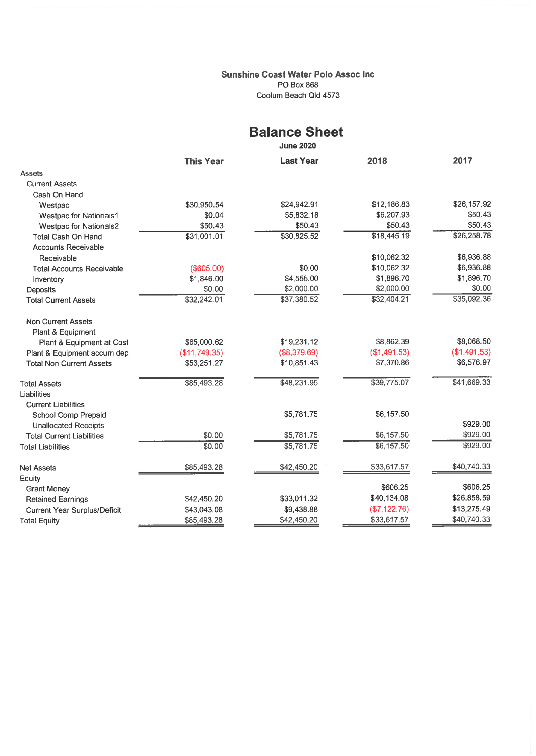#### Sunshine Coast Water Polo Assoc Inc PO Box 868 Coolum Beach Qld 4573

# Balance Sheet

June 2020

|                                  | <b>This Year</b> | <b>Last Year</b>         | 2018         | 2017         |
|----------------------------------|------------------|--------------------------|--------------|--------------|
| Assets                           |                  |                          |              |              |
| <b>Current Assets</b>            |                  |                          |              |              |
| Cash On Hand                     |                  |                          |              |              |
| Westpac                          | \$30,950.54      | \$24,942.91              | \$12,186.83  | \$26,157.92  |
| <b>Westpac for Nationals1</b>    | \$0.04           | \$5,832.18               | \$6,207.93   | \$50.43      |
| <b>Westpac for Nationals2</b>    | \$50.43          | \$50.43                  | \$50.43      | \$50.43      |
| <b>Total Cash On Hand</b>        | \$31,001.01      | \$30,825.52              | \$18,445.19  | \$26,258.78  |
| <b>Accounts Receivable</b>       |                  |                          |              |              |
| Receivable                       |                  |                          | \$10,062.32  | \$6,936.88   |
| <b>Total Accounts Receivable</b> | (\$605.00)       | \$0.00                   | \$10,062.32  | \$6,936.88   |
| Inventory                        | \$1,846.00       | \$4,555.00               | \$1,896.70   | \$1,896.70   |
| Deposits                         | \$0.00           | \$2,000.00               | \$2,000.00   | \$0.00       |
| <b>Total Current Assets</b>      | \$32,242.01      | \$37,380.52              | \$32,404.21  | \$35,092.36  |
| <b>Non Current Assets</b>        |                  |                          |              |              |
| Plant & Equipment                |                  |                          |              |              |
| Plant & Equipment at Cost        | \$65,000.62      | \$19,231.12              | \$8,862.39   | \$8,068.50   |
| Plant & Equipment accum dep      | (\$11,749.35)    | (\$8,379.69)             | (\$1,491.53) | (\$1,491.53) |
| <b>Total Non Current Assets</b>  | \$53,251.27      | \$10,851.43              | \$7,370.86   | \$6,576.97   |
| <b>Total Assets</b>              | \$85,493.28      | \$48,231.95              | \$39,775.07  | \$41,669.33  |
| Liabilities                      |                  |                          |              |              |
| <b>Current Liabilities</b>       |                  |                          |              |              |
| School Comp Prepaid              |                  | \$5,781.75               | \$6,157.50   | \$929.00     |
| <b>Unallocated Receipts</b>      |                  |                          | \$6,157.50   | \$929.00     |
| <b>Total Current Liabilities</b> | \$0.00           | \$5,781.75<br>\$5,781.75 | \$6,157.50   | \$929.00     |
| <b>Total Liabilities</b>         | \$0.00           |                          |              |              |
| <b>Net Assets</b>                | \$85,493.28      | \$42,450.20              | \$33,617.57  | \$40,740.33  |
| Equity                           |                  |                          |              |              |
| <b>Grant Money</b>               |                  |                          | \$606.25     | \$606.25     |
| <b>Retained Earnings</b>         | \$42,450.20      | \$33,011.32              | \$40,134.08  | \$26,858.59  |
| Current Year Surplus/Deficit     | \$43,043.08      | \$9,438.88               | (\$7,122.76) | \$13,275.49  |
| <b>Total Equity</b>              | \$85,493.28      | \$42,450.20              | \$33,617.57  | \$40,740.33  |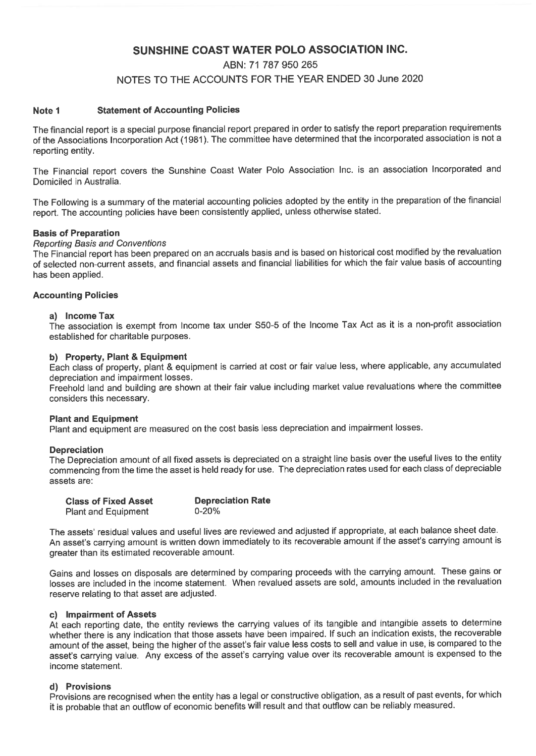# SUNSHINE COAST WATER POLO ASSOCIATION INC.

# ABN: 71 787 950 265 NOTES TO THE ACCOUNTS FOR THE YEAR ENDED 30 June 2020

#### Note 1 Statement of Accounting Policies

The financial report is a special purpose financial report prepared in order to satisfy the report preparation requirements of the Associations Incorporation Act (1981). The committee have determined that the incorporated association is not a reporting entity.

The Financial report covers the Sunshine Coast Water Polo Association Inc. is an association Incorporated and Domiciled in Australia.

The Following is a summary of the material accounting policies adopted by the entity in the preparation of the financial report. The accounting policies have been consistently applied, unless otherwise stated.

#### Basis of Preparation

#### Reporting Basis and Conventions

The Financial report has been prepared on an accruals basis and is based on historical cost modified by the revaluation of selected non-current assets, and financial assets and financial liabilities for which the fair value basis of accounting has been applied.

#### Accounting Policies

#### a) Income Tax

The association is exempt from Income tax under S50-5 of the Income Tax Act as it is a non-profit association established for charitable purposes.

#### b) Property, Plant & Equipment

Each class of property, plant & equipment is carried at cost or fair value less, where applicable, any accumulated depreciation and impairment losses.

Freehold land and building are shown at their fair value including market value revaluations where the committee considers this necessary.

#### Plant and Equipment

Plant and equipment are measured on the cost basis less depreciation and impairment losses.

#### **Depreciation**

The Depreciation amount of all fixed assets is depreciated on a straight line basis over the useful lives to the entity commencing from the time the asset is held ready for use. The depreciation rates used for each class of depreciable assets are:

| <b>Class of Fixed Asset</b> | <b>Depreciation Rate</b> |
|-----------------------------|--------------------------|
| <b>Plant and Equipment</b>  | $0 - 20%$                |

The assets' residual values and useful lives are reviewed and adjusted if appropriate, at each balance sheet date. An asset's carrying amount is written down immediately to its recoverable amount if the asset's carrying amount is greater than its estimated recoverable amount.

Gains and losses on disposals are determined by comparing proceeds with the carrying amount. These gains or losses are included in the income statement. When revalued assets are sold, amounts included in the revaluation reserve relating to that asset are adjusted.

#### c) Impairment of Assets

At each reporting date, the entity reviews the carrying values of its tangible and intangible assets to determine whether there is any indication that those assets have been impaired. If such an indication exists, the recoverable amount of the asset, being the higher of the asset's fair value less costs to sell and value in use, is compared to the asset's carrying value. Any excess of the asset's carrying value over its recoverable amount is expensed to the income statement.

#### d) Provisions

Provisions are recognised when the entity has a legal or constructive obligation, as a result of past events, for which it is probable that an outflow of economic benefits will result and that outflow can be reliably measured.